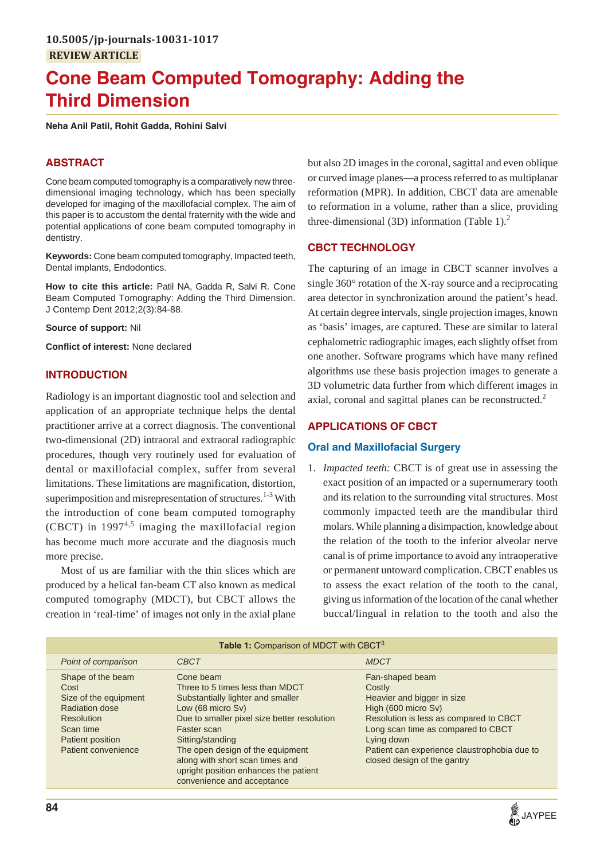# **Cone Beam Computed Tomography: Adding the Third Dimension**

**Neha Anil Patil, Rohit Gadda, Rohini Salvi**

# **ABSTRACT**

Cone beam computed tomography is a comparatively new threedimensional imaging technology, which has been specially developed for imaging of the maxillofacial complex. The aim of this paper is to accustom the dental fraternity with the wide and potential applications of cone beam computed tomography in dentistry.

**Keywords:** Cone beam computed tomography, Impacted teeth, Dental implants, Endodontics.

**How to cite this article:** Patil NA, Gadda R, Salvi R. Cone Beam Computed Tomography: Adding the Third Dimension. J Contemp Dent 2012;2(3):84-88.

**Source of support:** Nil

**Conflict of interest:** None declared

#### **INTRODUCTION**

Radiology is an important diagnostic tool and selection and application of an appropriate technique helps the dental practitioner arrive at a correct diagnosis. The conventional two-dimensional (2D) intraoral and extraoral radiographic procedures, though very routinely used for evaluation of dental or maxillofacial complex, suffer from several limitations. These limitations are magnification, distortion, superimposition and misrepresentation of structures.<sup>1-3</sup> With the introduction of cone beam computed tomography (CBCT) in 1997<sup>4,5</sup> imaging the maxillofacial region has become much more accurate and the diagnosis much more precise.

Most of us are familiar with the thin slices which are produced by a helical fan-beam CT also known as medical computed tomography (MDCT), but CBCT allows the creation in 'real-time' of images not only in the axial plane but also 2D images in the coronal, sagittal and even oblique or curved image planes—a process referred to as multiplanar reformation (MPR). In addition, CBCT data are amenable to reformation in a volume, rather than a slice, providing three-dimensional (3D) information (Table 1). $<sup>2</sup>$ </sup>

## **CBCT TECHNOLOGY**

The capturing of an image in CBCT scanner involves a single 360° rotation of the X-ray source and a reciprocating area detector in synchronization around the patient's head. At certain degree intervals, single projection images, known as 'basis' images, are captured. These are similar to lateral cephalometric radiographic images, each slightly offset from one another. Software programs which have many refined algorithms use these basis projection images to generate a 3D volumetric data further from which different images in axial, coronal and sagittal planes can be reconstructed.<sup>2</sup>

### **APPLICATIONS OF CBCT**

#### **Oral and Maxillofacial Surgery**

1. *Impacted teeth:* CBCT is of great use in assessing the exact position of an impacted or a supernumerary tooth and its relation to the surrounding vital structures. Most commonly impacted teeth are the mandibular third molars. While planning a disimpaction, knowledge about the relation of the tooth to the inferior alveolar nerve canal is of prime importance to avoid any intraoperative or permanent untoward complication. CBCT enables us to assess the exact relation of the tooth to the canal, giving us information of the location of the canal whether buccal/lingual in relation to the tooth and also the

| Table 1: Comparison of MDCT with CBCT <sup>3</sup>                                                                                         |                                                                                                                                                                                                                                                                                                                                        |                                                                                                                                                                                                                                                             |
|--------------------------------------------------------------------------------------------------------------------------------------------|----------------------------------------------------------------------------------------------------------------------------------------------------------------------------------------------------------------------------------------------------------------------------------------------------------------------------------------|-------------------------------------------------------------------------------------------------------------------------------------------------------------------------------------------------------------------------------------------------------------|
| Point of comparison                                                                                                                        | <b>CBCT</b>                                                                                                                                                                                                                                                                                                                            | <b>MDCT</b>                                                                                                                                                                                                                                                 |
| Shape of the beam<br>Cost<br>Size of the equipment<br>Radiation dose<br>Resolution<br>Scan time<br>Patient position<br>Patient convenience | Cone beam<br>Three to 5 times less than MDCT<br>Substantially lighter and smaller<br>Low (68 micro Sv)<br>Due to smaller pixel size better resolution<br>Faster scan<br>Sitting/standing<br>The open design of the equipment<br>along with short scan times and<br>upright position enhances the patient<br>convenience and acceptance | Fan-shaped beam<br>Costly<br>Heavier and bigger in size<br>High (600 micro Sv)<br>Resolution is less as compared to CBCT<br>Long scan time as compared to CBCT<br>Lying down<br>Patient can experience claustrophobia due to<br>closed design of the gantry |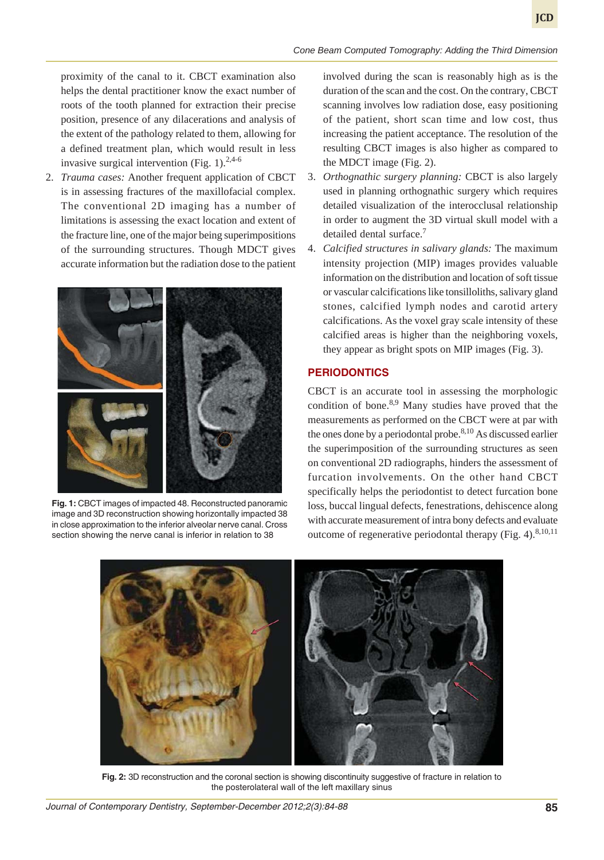proximity of the canal to it. CBCT examination also helps the dental practitioner know the exact number of roots of the tooth planned for extraction their precise position, presence of any dilacerations and analysis of the extent of the pathology related to them, allowing for a defined treatment plan, which would result in less invasive surgical intervention (Fig. 1). $2,4-6$ 

2. *Trauma cases:* Another frequent application of CBCT is in assessing fractures of the maxillofacial complex. The conventional 2D imaging has a number of limitations is assessing the exact location and extent of the fracture line, one of the major being superimpositions of the surrounding structures. Though MDCT gives accurate information but the radiation dose to the patient



**Fig. 1:** CBCT images of impacted 48. Reconstructed panoramic image and 3D reconstruction showing horizontally impacted 38 in close approximation to the inferior alveolar nerve canal. Cross section showing the nerve canal is inferior in relation to 38

involved during the scan is reasonably high as is the duration of the scan and the cost. On the contrary, CBCT scanning involves low radiation dose, easy positioning of the patient, short scan time and low cost, thus increasing the patient acceptance. The resolution of the resulting CBCT images is also higher as compared to the MDCT image (Fig. 2).

- 3. *Orthognathic surgery planning:* CBCT is also largely used in planning orthognathic surgery which requires detailed visualization of the interocclusal relationship in order to augment the 3D virtual skull model with a detailed dental surface.7
- 4. *Calcified structures in salivary glands:* The maximum intensity projection (MIP) images provides valuable information on the distribution and location of soft tissue or vascular calcifications like tonsilloliths, salivary gland stones, calcified lymph nodes and carotid artery calcifications. As the voxel gray scale intensity of these calcified areas is higher than the neighboring voxels, they appear as bright spots on MIP images (Fig. 3).

#### **PERIODONTICS**

CBCT is an accurate tool in assessing the morphologic condition of bone. $8,9$  Many studies have proved that the measurements as performed on the CBCT were at par with the ones done by a periodontal probe. $8,10$  As discussed earlier the superimposition of the surrounding structures as seen on conventional 2D radiographs, hinders the assessment of furcation involvements. On the other hand CBCT specifically helps the periodontist to detect furcation bone loss, buccal lingual defects, fenestrations, dehiscence along with accurate measurement of intra bony defects and evaluate outcome of regenerative periodontal therapy (Fig. 4). $8,10,11$ 



**Fig. 2:** 3D reconstruction and the coronal section is showing discontinuity suggestive of fracture in relation to the posterolateral wall of the left maxillary sinus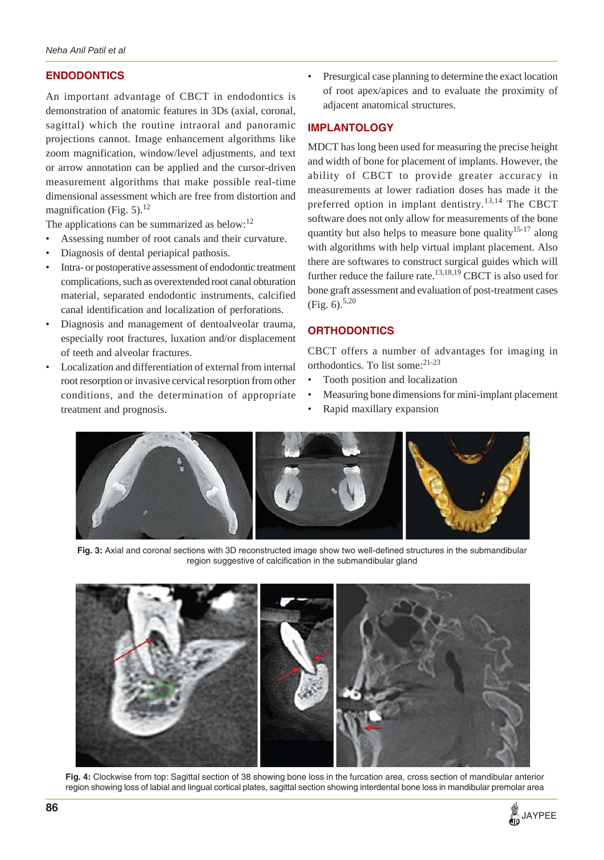# **ENDODONTICS**

An important advantage of CBCT in endodontics is demonstration of anatomic features in 3Ds (axial, coronal, sagittal) which the routine intraoral and panoramic projections cannot. Image enhancement algorithms like zoom magnification, window/level adjustments, and text or arrow annotation can be applied and the cursor-driven measurement algorithms that make possible real-time dimensional assessment which are free from distortion and magnification (Fig.  $5$ ).<sup>12</sup>

The applications can be summarized as below:<sup>12</sup>

- Assessing number of root canals and their curvature.
- Diagnosis of dental periapical pathosis.
- Intra- or postoperative assessment of endodontic treatment complications, such as overextended root canal obturation material, separated endodontic instruments, calcified canal identification and localization of perforations.
- Diagnosis and management of dentoalveolar trauma, especially root fractures, luxation and/or displacement of teeth and alveolar fractures.
- Localization and differentiation of external from internal root resorption or invasive cervical resorption from other conditions, and the determination of appropriate treatment and prognosis.

• Presurgical case planning to determine the exact location of root apex/apices and to evaluate the proximity of adjacent anatomical structures.

### **IMPLANTOLOGY**

MDCT has long been used for measuring the precise height and width of bone for placement of implants. However, the ability of CBCT to provide greater accuracy in measurements at lower radiation doses has made it the preferred option in implant dentistry.<sup>13,14</sup> The CBCT software does not only allow for measurements of the bone quantity but also helps to measure bone quality<sup>15-17</sup> along with algorithms with help virtual implant placement. Also there are softwares to construct surgical guides which will further reduce the failure rate. $13,18,19$  CBCT is also used for bone graft assessment and evaluation of post-treatment cases (Fig.  $6$ ).<sup>5,20</sup>

# **ORTHODONTICS**

CBCT offers a number of advantages for imaging in orthodontics. To list some:<sup>21-23</sup>

- Tooth position and localization
- Measuring bone dimensions for mini-implant placement
- Rapid maxillary expansion



**Fig. 3:** Axial and coronal sections with 3D reconstructed image show two well-defined structures in the submandibular region suggestive of calcification in the submandibular gland



**Fig. 4:** Clockwise from top: Sagittal section of 38 showing bone loss in the furcation area, cross section of mandibular anterior region showing loss of labial and lingual cortical plates, sagittal section showing interdental bone loss in mandibular premolar area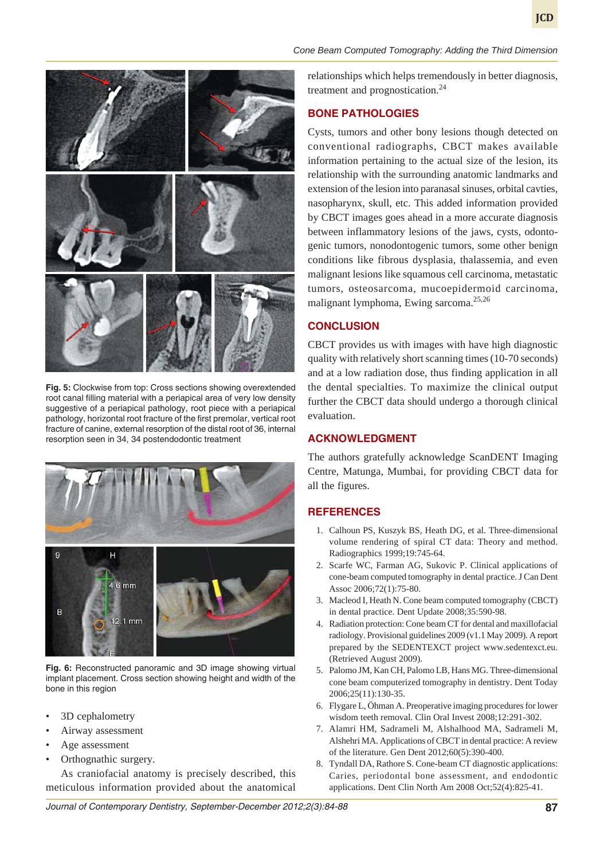

**Fig. 5:** Clockwise from top: Cross sections showing overextended root canal filling material with a periapical area of very low density suggestive of a periapical pathology, root piece with a periapical pathology, horizontal root fracture of the first premolar, vertical root fracture of canine, external resorption of the distal root of 36, internal resorption seen in 34, 34 postendodontic treatment



**Fig. 6:** Reconstructed panoramic and 3D image showing virtual implant placement. Cross section showing height and width of the bone in this region

- 3D cephalometry
- Airway assessment
- Age assessment
- Orthognathic surgery.

As craniofacial anatomy is precisely described, this meticulous information provided about the anatomical

*Cone Beam Computed Tomography: Adding the Third Dimension*

relationships which helps tremendously in better diagnosis, treatment and prognostication.<sup>24</sup>

# **BONE PATHOLOGIES**

Cysts, tumors and other bony lesions though detected on conventional radiographs, CBCT makes available information pertaining to the actual size of the lesion, its relationship with the surrounding anatomic landmarks and extension of the lesion into paranasal sinuses, orbital cavties, nasopharynx, skull, etc. This added information provided by CBCT images goes ahead in a more accurate diagnosis between inflammatory lesions of the jaws, cysts, odontogenic tumors, nonodontogenic tumors, some other benign conditions like fibrous dysplasia, thalassemia, and even malignant lesions like squamous cell carcinoma, metastatic tumors, osteosarcoma, mucoepidermoid carcinoma, malignant lymphoma, Ewing sarcoma.25,26

### **CONCLUSION**

CBCT provides us with images with have high diagnostic quality with relatively short scanning times (10-70 seconds) and at a low radiation dose, thus finding application in all the dental specialties. To maximize the clinical output further the CBCT data should undergo a thorough clinical evaluation.

### **ACKNOWLEDGMENT**

The authors gratefully acknowledge ScanDENT Imaging Centre, Matunga, Mumbai, for providing CBCT data for all the figures.

# **REFERENCES**

- 1. Calhoun PS, Kuszyk BS, Heath DG, et al. Three-dimensional volume rendering of spiral CT data: Theory and method. Radiographics 1999;19:745-64.
- 2. Scarfe WC, Farman AG, Sukovic P. Clinical applications of cone-beam computed tomography in dental practice. J Can Dent Assoc 2006;72(1):75-80.
- 3. Macleod I, Heath N. Cone beam computed tomography (CBCT) in dental practice. Dent Update 2008;35:590-98.
- 4. Radiation protection: Cone beam CT for dental and maxillofacial radiology. Provisional guidelines 2009 (v1.1 May 2009). A report prepared by the SEDENTEXCT project www.sedentexct.eu. (Retrieved August 2009).
- 5. Palomo JM, Kan CH, Palomo LB, Hans MG. Three-dimensional cone beam computerized tomography in dentistry. Dent Today 2006;25(11):130-35.
- 6. Flygare L, Öhman A. Preoperative imaging procedures for lower wisdom teeth removal. Clin Oral Invest 2008;12:291-302.
- 7. Alamri HM, Sadrameli M, Alshalhood MA, Sadrameli M, Alshehri MA. Applications of CBCT in dental practice: A review of the literature. Gen Dent 2012;60(5):390-400.
- 8. Tyndall DA, Rathore S. Cone-beam CT diagnostic applications: Caries, periodontal bone assessment, and endodontic applications. Dent Clin North Am 2008 Oct;52(4):825-41.